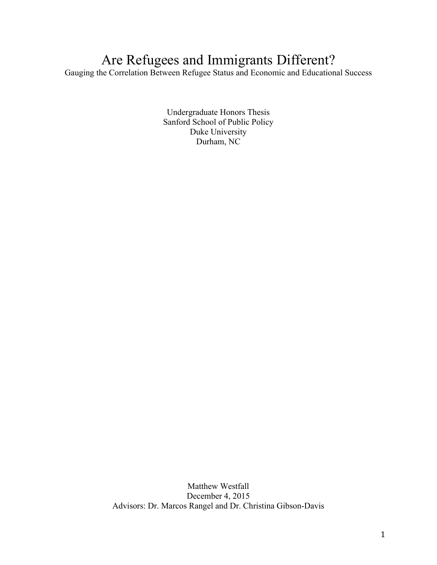# Are Refugees and Immigrants Different?

Gauging the Correlation Between Refugee Status and Economic and Educational Success

Undergraduate Honors Thesis Sanford School of Public Policy Duke University Durham, NC

Matthew Westfall December 4, 2015 Advisors: Dr. Marcos Rangel and Dr. Christina Gibson-Davis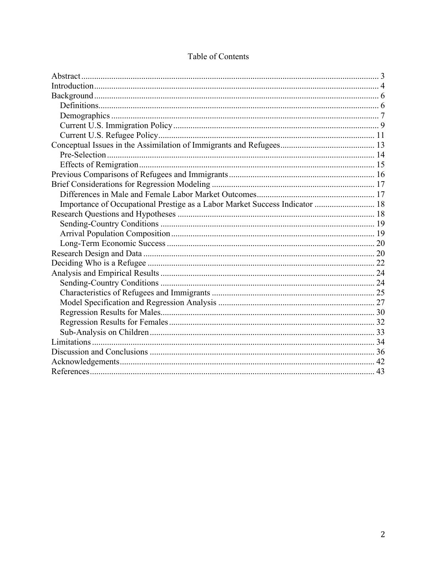| Importance of Occupational Prestige as a Labor Market Success Indicator  18 |  |
|-----------------------------------------------------------------------------|--|
|                                                                             |  |
|                                                                             |  |
|                                                                             |  |
|                                                                             |  |
|                                                                             |  |
|                                                                             |  |
|                                                                             |  |
|                                                                             |  |
|                                                                             |  |
|                                                                             |  |
|                                                                             |  |
|                                                                             |  |
|                                                                             |  |
|                                                                             |  |
|                                                                             |  |
|                                                                             |  |
|                                                                             |  |

# Table of Contents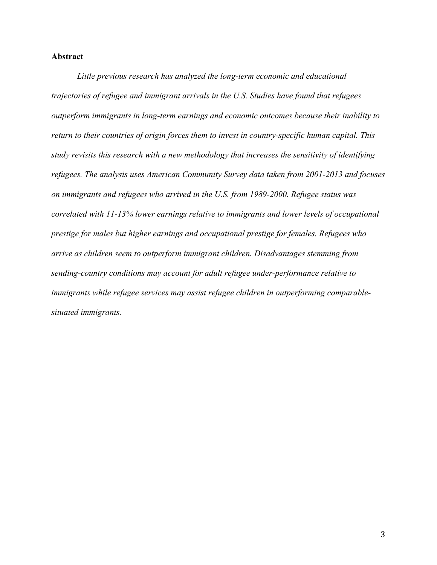# **Abstract**

*Little previous research has analyzed the long-term economic and educational trajectories of refugee and immigrant arrivals in the U.S. Studies have found that refugees outperform immigrants in long-term earnings and economic outcomes because their inability to return to their countries of origin forces them to invest in country-specific human capital. This study revisits this research with a new methodology that increases the sensitivity of identifying refugees. The analysis uses American Community Survey data taken from 2001-2013 and focuses on immigrants and refugees who arrived in the U.S. from 1989-2000. Refugee status was correlated with 11-13% lower earnings relative to immigrants and lower levels of occupational prestige for males but higher earnings and occupational prestige for females. Refugees who arrive as children seem to outperform immigrant children. Disadvantages stemming from sending-country conditions may account for adult refugee under-performance relative to immigrants while refugee services may assist refugee children in outperforming comparablesituated immigrants.*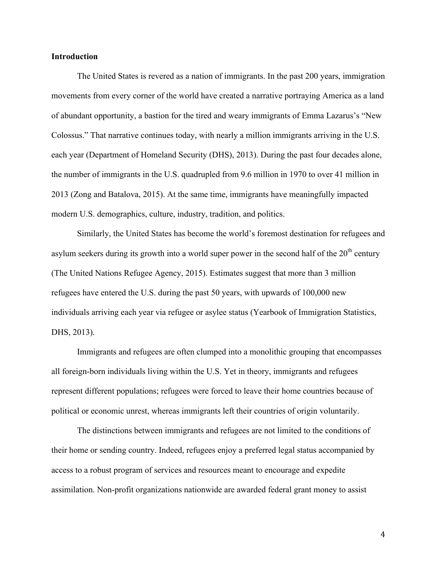# **Introduction**

The United States is revered as a nation of immigrants. In the past 200 years, immigration movements from every corner of the world have created a narrative portraying America as a land of abundant opportunity, a bastion for the tired and weary immigrants of Emma Lazarus's "New Colossus." That narrative continues today, with nearly a million immigrants arriving in the U.S. each year (Department of Homeland Security (DHS), 2013). During the past four decades alone, the number of immigrants in the U.S. quadrupled from 9.6 million in 1970 to over 41 million in 2013 (Zong and Batalova, 2015). At the same time, immigrants have meaningfully impacted modern U.S. demographics, culture, industry, tradition, and politics.

Similarly, the United States has become the world's foremost destination for refugees and asylum seekers during its growth into a world super power in the second half of the  $20<sup>th</sup>$  century (The United Nations Refugee Agency, 2015). Estimates suggest that more than 3 million refugees have entered the U.S. during the past 50 years, with upwards of 100,000 new individuals arriving each year via refugee or asylee status (Yearbook of Immigration Statistics, DHS, 2013).

Immigrants and refugees are often clumped into a monolithic grouping that encompasses all foreign-born individuals living within the U.S. Yet in theory, immigrants and refugees represent different populations; refugees were forced to leave their home countries because of political or economic unrest, whereas immigrants left their countries of origin voluntarily.

The distinctions between immigrants and refugees are not limited to the conditions of their home or sending country. Indeed, refugees enjoy a preferred legal status accompanied by access to a robust program of services and resources meant to encourage and expedite assimilation. Non-profit organizations nationwide are awarded federal grant money to assist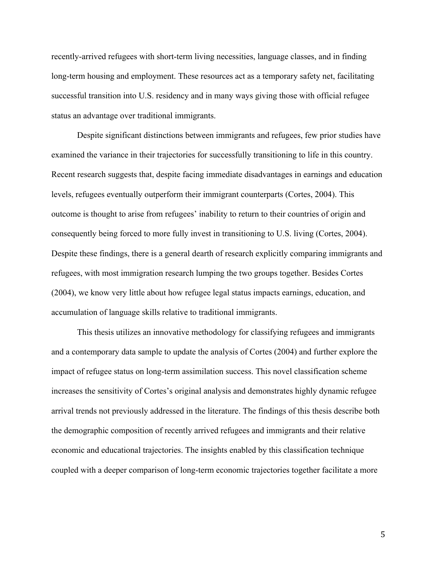recently-arrived refugees with short-term living necessities, language classes, and in finding long-term housing and employment. These resources act as a temporary safety net, facilitating successful transition into U.S. residency and in many ways giving those with official refugee status an advantage over traditional immigrants.

Despite significant distinctions between immigrants and refugees, few prior studies have examined the variance in their trajectories for successfully transitioning to life in this country. Recent research suggests that, despite facing immediate disadvantages in earnings and education levels, refugees eventually outperform their immigrant counterparts (Cortes, 2004). This outcome is thought to arise from refugees' inability to return to their countries of origin and consequently being forced to more fully invest in transitioning to U.S. living (Cortes, 2004). Despite these findings, there is a general dearth of research explicitly comparing immigrants and refugees, with most immigration research lumping the two groups together. Besides Cortes (2004), we know very little about how refugee legal status impacts earnings, education, and accumulation of language skills relative to traditional immigrants.

This thesis utilizes an innovative methodology for classifying refugees and immigrants and a contemporary data sample to update the analysis of Cortes (2004) and further explore the impact of refugee status on long-term assimilation success. This novel classification scheme increases the sensitivity of Cortes's original analysis and demonstrates highly dynamic refugee arrival trends not previously addressed in the literature. The findings of this thesis describe both the demographic composition of recently arrived refugees and immigrants and their relative economic and educational trajectories. The insights enabled by this classification technique coupled with a deeper comparison of long-term economic trajectories together facilitate a more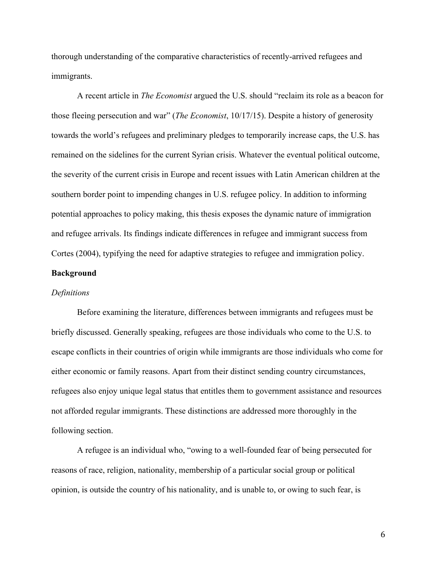thorough understanding of the comparative characteristics of recently-arrived refugees and immigrants.

A recent article in *The Economist* argued the U.S. should "reclaim its role as a beacon for those fleeing persecution and war" (*The Economist*, 10/17/15). Despite a history of generosity towards the world's refugees and preliminary pledges to temporarily increase caps, the U.S. has remained on the sidelines for the current Syrian crisis. Whatever the eventual political outcome, the severity of the current crisis in Europe and recent issues with Latin American children at the southern border point to impending changes in U.S. refugee policy. In addition to informing potential approaches to policy making, this thesis exposes the dynamic nature of immigration and refugee arrivals. Its findings indicate differences in refugee and immigrant success from Cortes (2004), typifying the need for adaptive strategies to refugee and immigration policy.

# **Background**

# *Definitions*

Before examining the literature, differences between immigrants and refugees must be briefly discussed. Generally speaking, refugees are those individuals who come to the U.S. to escape conflicts in their countries of origin while immigrants are those individuals who come for either economic or family reasons. Apart from their distinct sending country circumstances, refugees also enjoy unique legal status that entitles them to government assistance and resources not afforded regular immigrants. These distinctions are addressed more thoroughly in the following section.

A refugee is an individual who, "owing to a well-founded fear of being persecuted for reasons of race, religion, nationality, membership of a particular social group or political opinion, is outside the country of his nationality, and is unable to, or owing to such fear, is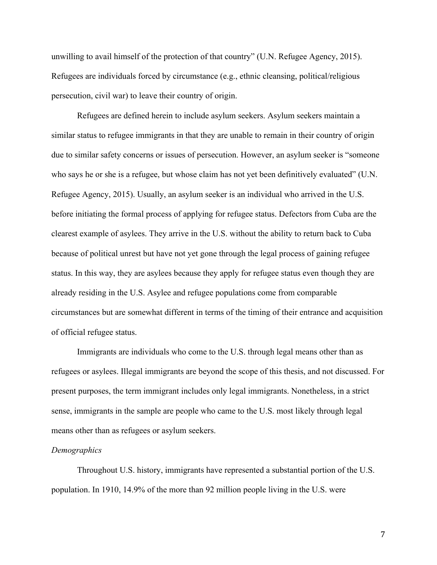unwilling to avail himself of the protection of that country" (U.N. Refugee Agency, 2015). Refugees are individuals forced by circumstance (e.g., ethnic cleansing, political/religious persecution, civil war) to leave their country of origin.

Refugees are defined herein to include asylum seekers. Asylum seekers maintain a similar status to refugee immigrants in that they are unable to remain in their country of origin due to similar safety concerns or issues of persecution. However, an asylum seeker is "someone who says he or she is a refugee, but whose claim has not yet been definitively evaluated" (U.N. Refugee Agency, 2015). Usually, an asylum seeker is an individual who arrived in the U.S. before initiating the formal process of applying for refugee status. Defectors from Cuba are the clearest example of asylees. They arrive in the U.S. without the ability to return back to Cuba because of political unrest but have not yet gone through the legal process of gaining refugee status. In this way, they are asylees because they apply for refugee status even though they are already residing in the U.S. Asylee and refugee populations come from comparable circumstances but are somewhat different in terms of the timing of their entrance and acquisition of official refugee status.

Immigrants are individuals who come to the U.S. through legal means other than as refugees or asylees. Illegal immigrants are beyond the scope of this thesis, and not discussed. For present purposes, the term immigrant includes only legal immigrants. Nonetheless, in a strict sense, immigrants in the sample are people who came to the U.S. most likely through legal means other than as refugees or asylum seekers.

# *Demographics*

Throughout U.S. history, immigrants have represented a substantial portion of the U.S. population. In 1910, 14.9% of the more than 92 million people living in the U.S. were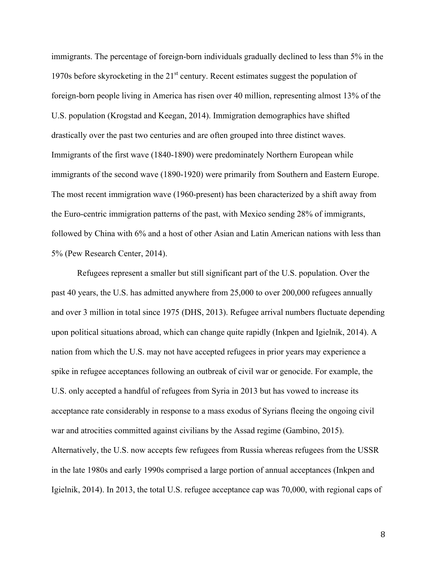immigrants. The percentage of foreign-born individuals gradually declined to less than 5% in the 1970s before skyrocketing in the  $21<sup>st</sup>$  century. Recent estimates suggest the population of foreign-born people living in America has risen over 40 million, representing almost 13% of the U.S. population (Krogstad and Keegan, 2014). Immigration demographics have shifted drastically over the past two centuries and are often grouped into three distinct waves. Immigrants of the first wave (1840-1890) were predominately Northern European while immigrants of the second wave (1890-1920) were primarily from Southern and Eastern Europe. The most recent immigration wave (1960-present) has been characterized by a shift away from the Euro-centric immigration patterns of the past, with Mexico sending 28% of immigrants, followed by China with 6% and a host of other Asian and Latin American nations with less than 5% (Pew Research Center, 2014).

Refugees represent a smaller but still significant part of the U.S. population. Over the past 40 years, the U.S. has admitted anywhere from 25,000 to over 200,000 refugees annually and over 3 million in total since 1975 (DHS, 2013). Refugee arrival numbers fluctuate depending upon political situations abroad, which can change quite rapidly (Inkpen and Igielnik, 2014). A nation from which the U.S. may not have accepted refugees in prior years may experience a spike in refugee acceptances following an outbreak of civil war or genocide. For example, the U.S. only accepted a handful of refugees from Syria in 2013 but has vowed to increase its acceptance rate considerably in response to a mass exodus of Syrians fleeing the ongoing civil war and atrocities committed against civilians by the Assad regime (Gambino, 2015). Alternatively, the U.S. now accepts few refugees from Russia whereas refugees from the USSR in the late 1980s and early 1990s comprised a large portion of annual acceptances (Inkpen and Igielnik, 2014). In 2013, the total U.S. refugee acceptance cap was 70,000, with regional caps of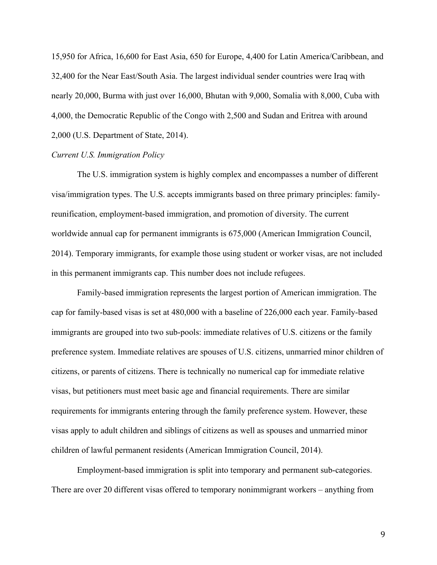15,950 for Africa, 16,600 for East Asia, 650 for Europe, 4,400 for Latin America/Caribbean, and 32,400 for the Near East/South Asia. The largest individual sender countries were Iraq with nearly 20,000, Burma with just over 16,000, Bhutan with 9,000, Somalia with 8,000, Cuba with 4,000, the Democratic Republic of the Congo with 2,500 and Sudan and Eritrea with around 2,000 (U.S. Department of State, 2014).

# *Current U.S. Immigration Policy*

The U.S. immigration system is highly complex and encompasses a number of different visa/immigration types. The U.S. accepts immigrants based on three primary principles: familyreunification, employment-based immigration, and promotion of diversity. The current worldwide annual cap for permanent immigrants is 675,000 (American Immigration Council, 2014). Temporary immigrants, for example those using student or worker visas, are not included in this permanent immigrants cap. This number does not include refugees.

Family-based immigration represents the largest portion of American immigration. The cap for family-based visas is set at 480,000 with a baseline of 226,000 each year. Family-based immigrants are grouped into two sub-pools: immediate relatives of U.S. citizens or the family preference system. Immediate relatives are spouses of U.S. citizens, unmarried minor children of citizens, or parents of citizens. There is technically no numerical cap for immediate relative visas, but petitioners must meet basic age and financial requirements. There are similar requirements for immigrants entering through the family preference system. However, these visas apply to adult children and siblings of citizens as well as spouses and unmarried minor children of lawful permanent residents (American Immigration Council, 2014).

Employment-based immigration is split into temporary and permanent sub-categories. There are over 20 different visas offered to temporary nonimmigrant workers – anything from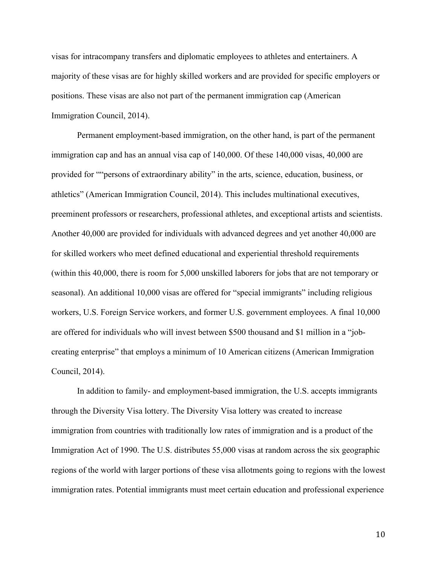visas for intracompany transfers and diplomatic employees to athletes and entertainers. A majority of these visas are for highly skilled workers and are provided for specific employers or positions. These visas are also not part of the permanent immigration cap (American Immigration Council, 2014).

Permanent employment-based immigration, on the other hand, is part of the permanent immigration cap and has an annual visa cap of 140,000. Of these 140,000 visas, 40,000 are provided for ""persons of extraordinary ability" in the arts, science, education, business, or athletics" (American Immigration Council, 2014). This includes multinational executives, preeminent professors or researchers, professional athletes, and exceptional artists and scientists. Another 40,000 are provided for individuals with advanced degrees and yet another 40,000 are for skilled workers who meet defined educational and experiential threshold requirements (within this 40,000, there is room for 5,000 unskilled laborers for jobs that are not temporary or seasonal). An additional 10,000 visas are offered for "special immigrants" including religious workers, U.S. Foreign Service workers, and former U.S. government employees. A final 10,000 are offered for individuals who will invest between \$500 thousand and \$1 million in a "jobcreating enterprise" that employs a minimum of 10 American citizens (American Immigration Council, 2014).

In addition to family- and employment-based immigration, the U.S. accepts immigrants through the Diversity Visa lottery. The Diversity Visa lottery was created to increase immigration from countries with traditionally low rates of immigration and is a product of the Immigration Act of 1990. The U.S. distributes 55,000 visas at random across the six geographic regions of the world with larger portions of these visa allotments going to regions with the lowest immigration rates. Potential immigrants must meet certain education and professional experience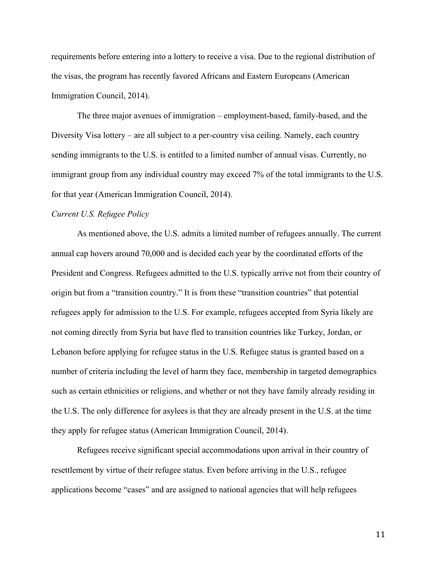requirements before entering into a lottery to receive a visa. Due to the regional distribution of the visas, the program has recently favored Africans and Eastern Europeans (American Immigration Council, 2014).

The three major avenues of immigration – employment-based, family-based, and the Diversity Visa lottery – are all subject to a per-country visa ceiling. Namely, each country sending immigrants to the U.S. is entitled to a limited number of annual visas. Currently, no immigrant group from any individual country may exceed 7% of the total immigrants to the U.S. for that year (American Immigration Council, 2014).

# *Current U.S. Refugee Policy*

As mentioned above, the U.S. admits a limited number of refugees annually. The current annual cap hovers around 70,000 and is decided each year by the coordinated efforts of the President and Congress. Refugees admitted to the U.S. typically arrive not from their country of origin but from a "transition country." It is from these "transition countries" that potential refugees apply for admission to the U.S. For example, refugees accepted from Syria likely are not coming directly from Syria but have fled to transition countries like Turkey, Jordan, or Lebanon before applying for refugee status in the U.S. Refugee status is granted based on a number of criteria including the level of harm they face, membership in targeted demographics such as certain ethnicities or religions, and whether or not they have family already residing in the U.S. The only difference for asylees is that they are already present in the U.S. at the time they apply for refugee status (American Immigration Council, 2014).

Refugees receive significant special accommodations upon arrival in their country of resettlement by virtue of their refugee status. Even before arriving in the U.S., refugee applications become "cases" and are assigned to national agencies that will help refugees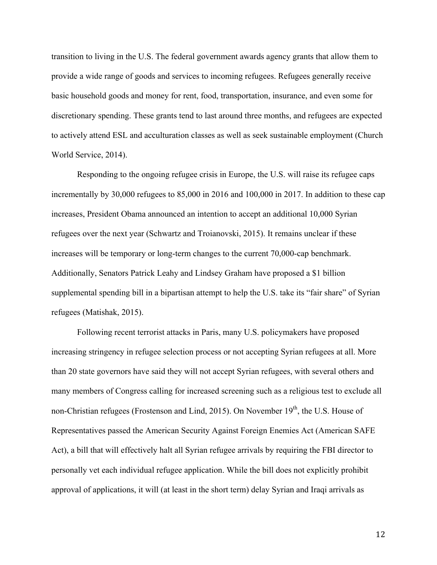transition to living in the U.S. The federal government awards agency grants that allow them to provide a wide range of goods and services to incoming refugees. Refugees generally receive basic household goods and money for rent, food, transportation, insurance, and even some for discretionary spending. These grants tend to last around three months, and refugees are expected to actively attend ESL and acculturation classes as well as seek sustainable employment (Church World Service, 2014).

Responding to the ongoing refugee crisis in Europe, the U.S. will raise its refugee caps incrementally by 30,000 refugees to 85,000 in 2016 and 100,000 in 2017. In addition to these cap increases, President Obama announced an intention to accept an additional 10,000 Syrian refugees over the next year (Schwartz and Troianovski, 2015). It remains unclear if these increases will be temporary or long-term changes to the current 70,000-cap benchmark. Additionally, Senators Patrick Leahy and Lindsey Graham have proposed a \$1 billion supplemental spending bill in a bipartisan attempt to help the U.S. take its "fair share" of Syrian refugees (Matishak, 2015).

Following recent terrorist attacks in Paris, many U.S. policymakers have proposed increasing stringency in refugee selection process or not accepting Syrian refugees at all. More than 20 state governors have said they will not accept Syrian refugees, with several others and many members of Congress calling for increased screening such as a religious test to exclude all non-Christian refugees (Frostenson and Lind, 2015). On November 19<sup>th</sup>, the U.S. House of Representatives passed the American Security Against Foreign Enemies Act (American SAFE Act), a bill that will effectively halt all Syrian refugee arrivals by requiring the FBI director to personally vet each individual refugee application. While the bill does not explicitly prohibit approval of applications, it will (at least in the short term) delay Syrian and Iraqi arrivals as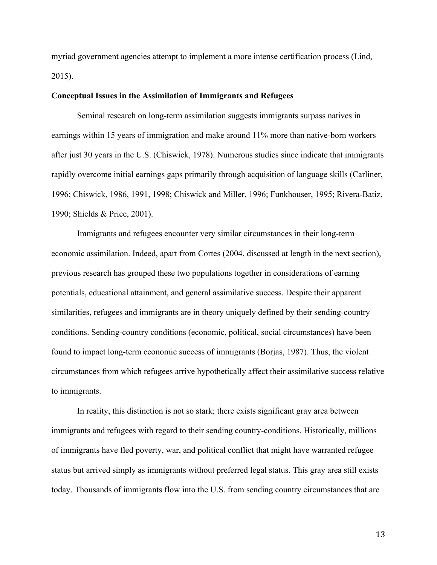myriad government agencies attempt to implement a more intense certification process (Lind, 2015).

# **Conceptual Issues in the Assimilation of Immigrants and Refugees**

Seminal research on long-term assimilation suggests immigrants surpass natives in earnings within 15 years of immigration and make around 11% more than native-born workers after just 30 years in the U.S. (Chiswick, 1978). Numerous studies since indicate that immigrants rapidly overcome initial earnings gaps primarily through acquisition of language skills (Carliner, 1996; Chiswick, 1986, 1991, 1998; Chiswick and Miller, 1996; Funkhouser, 1995; Rivera-Batiz, 1990; Shields & Price, 2001).

Immigrants and refugees encounter very similar circumstances in their long-term economic assimilation. Indeed, apart from Cortes (2004, discussed at length in the next section), previous research has grouped these two populations together in considerations of earning potentials, educational attainment, and general assimilative success. Despite their apparent similarities, refugees and immigrants are in theory uniquely defined by their sending-country conditions. Sending-country conditions (economic, political, social circumstances) have been found to impact long-term economic success of immigrants (Borjas, 1987). Thus, the violent circumstances from which refugees arrive hypothetically affect their assimilative success relative to immigrants.

In reality, this distinction is not so stark; there exists significant gray area between immigrants and refugees with regard to their sending country-conditions. Historically, millions of immigrants have fled poverty, war, and political conflict that might have warranted refugee status but arrived simply as immigrants without preferred legal status. This gray area still exists today. Thousands of immigrants flow into the U.S. from sending country circumstances that are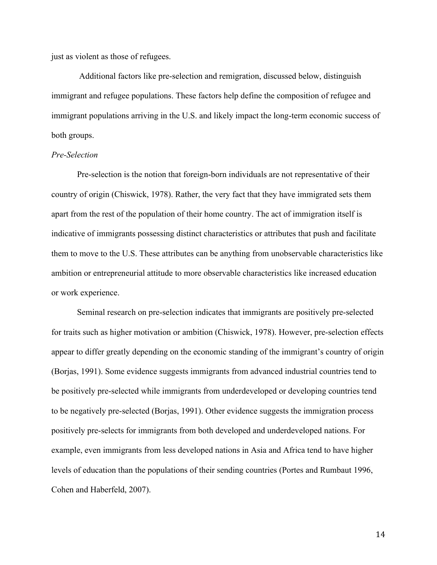just as violent as those of refugees.

Additional factors like pre-selection and remigration, discussed below, distinguish immigrant and refugee populations. These factors help define the composition of refugee and immigrant populations arriving in the U.S. and likely impact the long-term economic success of both groups.

# *Pre-Selection*

Pre-selection is the notion that foreign-born individuals are not representative of their country of origin (Chiswick, 1978). Rather, the very fact that they have immigrated sets them apart from the rest of the population of their home country. The act of immigration itself is indicative of immigrants possessing distinct characteristics or attributes that push and facilitate them to move to the U.S. These attributes can be anything from unobservable characteristics like ambition or entrepreneurial attitude to more observable characteristics like increased education or work experience.

Seminal research on pre-selection indicates that immigrants are positively pre-selected for traits such as higher motivation or ambition (Chiswick, 1978). However, pre-selection effects appear to differ greatly depending on the economic standing of the immigrant's country of origin (Borjas, 1991). Some evidence suggests immigrants from advanced industrial countries tend to be positively pre-selected while immigrants from underdeveloped or developing countries tend to be negatively pre-selected (Borjas, 1991). Other evidence suggests the immigration process positively pre-selects for immigrants from both developed and underdeveloped nations. For example, even immigrants from less developed nations in Asia and Africa tend to have higher levels of education than the populations of their sending countries (Portes and Rumbaut 1996, Cohen and Haberfeld, 2007).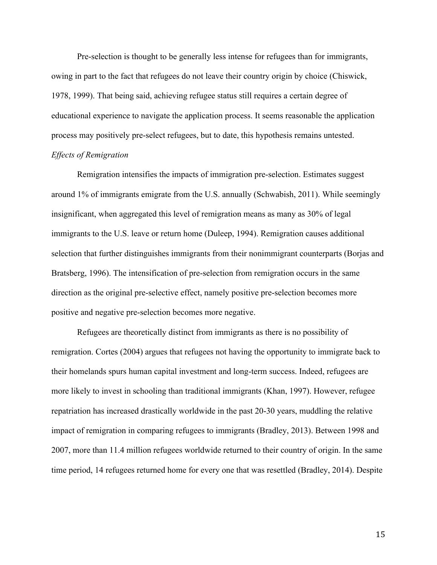Pre-selection is thought to be generally less intense for refugees than for immigrants, owing in part to the fact that refugees do not leave their country origin by choice (Chiswick, 1978, 1999). That being said, achieving refugee status still requires a certain degree of educational experience to navigate the application process. It seems reasonable the application process may positively pre-select refugees, but to date, this hypothesis remains untested. *Effects of Remigration*

Remigration intensifies the impacts of immigration pre-selection. Estimates suggest around 1% of immigrants emigrate from the U.S. annually (Schwabish, 2011). While seemingly insignificant, when aggregated this level of remigration means as many as 30% of legal immigrants to the U.S. leave or return home (Duleep, 1994). Remigration causes additional selection that further distinguishes immigrants from their nonimmigrant counterparts (Borjas and Bratsberg, 1996). The intensification of pre-selection from remigration occurs in the same direction as the original pre-selective effect, namely positive pre-selection becomes more positive and negative pre-selection becomes more negative.

Refugees are theoretically distinct from immigrants as there is no possibility of remigration. Cortes (2004) argues that refugees not having the opportunity to immigrate back to their homelands spurs human capital investment and long-term success. Indeed, refugees are more likely to invest in schooling than traditional immigrants (Khan, 1997). However, refugee repatriation has increased drastically worldwide in the past 20-30 years, muddling the relative impact of remigration in comparing refugees to immigrants (Bradley, 2013). Between 1998 and 2007, more than 11.4 million refugees worldwide returned to their country of origin. In the same time period, 14 refugees returned home for every one that was resettled (Bradley, 2014). Despite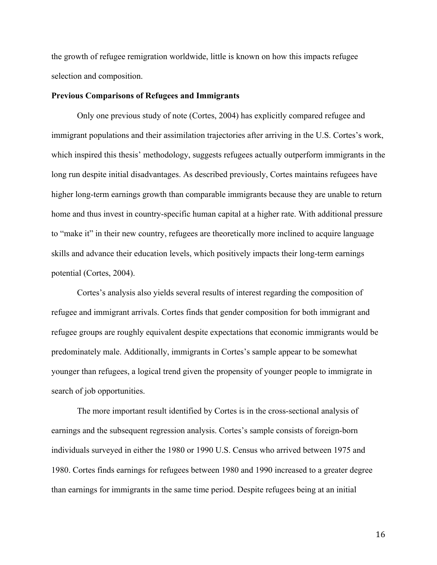the growth of refugee remigration worldwide, little is known on how this impacts refugee selection and composition.

## **Previous Comparisons of Refugees and Immigrants**

Only one previous study of note (Cortes, 2004) has explicitly compared refugee and immigrant populations and their assimilation trajectories after arriving in the U.S. Cortes's work, which inspired this thesis' methodology, suggests refugees actually outperform immigrants in the long run despite initial disadvantages. As described previously, Cortes maintains refugees have higher long-term earnings growth than comparable immigrants because they are unable to return home and thus invest in country-specific human capital at a higher rate. With additional pressure to "make it" in their new country, refugees are theoretically more inclined to acquire language skills and advance their education levels, which positively impacts their long-term earnings potential (Cortes, 2004).

Cortes's analysis also yields several results of interest regarding the composition of refugee and immigrant arrivals. Cortes finds that gender composition for both immigrant and refugee groups are roughly equivalent despite expectations that economic immigrants would be predominately male. Additionally, immigrants in Cortes's sample appear to be somewhat younger than refugees, a logical trend given the propensity of younger people to immigrate in search of job opportunities.

The more important result identified by Cortes is in the cross-sectional analysis of earnings and the subsequent regression analysis. Cortes's sample consists of foreign-born individuals surveyed in either the 1980 or 1990 U.S. Census who arrived between 1975 and 1980. Cortes finds earnings for refugees between 1980 and 1990 increased to a greater degree than earnings for immigrants in the same time period. Despite refugees being at an initial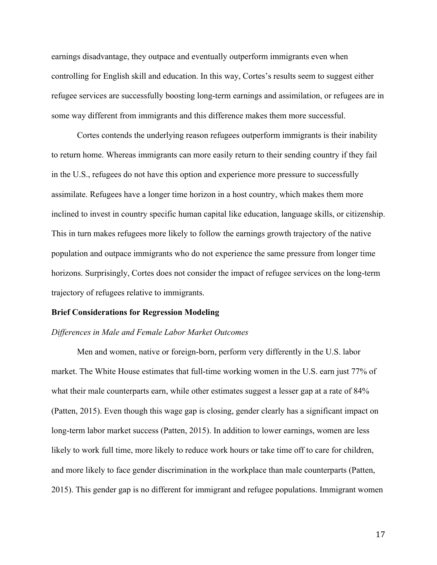earnings disadvantage, they outpace and eventually outperform immigrants even when controlling for English skill and education. In this way, Cortes's results seem to suggest either refugee services are successfully boosting long-term earnings and assimilation, or refugees are in some way different from immigrants and this difference makes them more successful.

Cortes contends the underlying reason refugees outperform immigrants is their inability to return home. Whereas immigrants can more easily return to their sending country if they fail in the U.S., refugees do not have this option and experience more pressure to successfully assimilate. Refugees have a longer time horizon in a host country, which makes them more inclined to invest in country specific human capital like education, language skills, or citizenship. This in turn makes refugees more likely to follow the earnings growth trajectory of the native population and outpace immigrants who do not experience the same pressure from longer time horizons. Surprisingly, Cortes does not consider the impact of refugee services on the long-term trajectory of refugees relative to immigrants.

# **Brief Considerations for Regression Modeling**

## *Differences in Male and Female Labor Market Outcomes*

Men and women, native or foreign-born, perform very differently in the U.S. labor market. The White House estimates that full-time working women in the U.S. earn just 77% of what their male counterparts earn, while other estimates suggest a lesser gap at a rate of  $84\%$ (Patten, 2015). Even though this wage gap is closing, gender clearly has a significant impact on long-term labor market success (Patten, 2015). In addition to lower earnings, women are less likely to work full time, more likely to reduce work hours or take time off to care for children, and more likely to face gender discrimination in the workplace than male counterparts (Patten, 2015). This gender gap is no different for immigrant and refugee populations. Immigrant women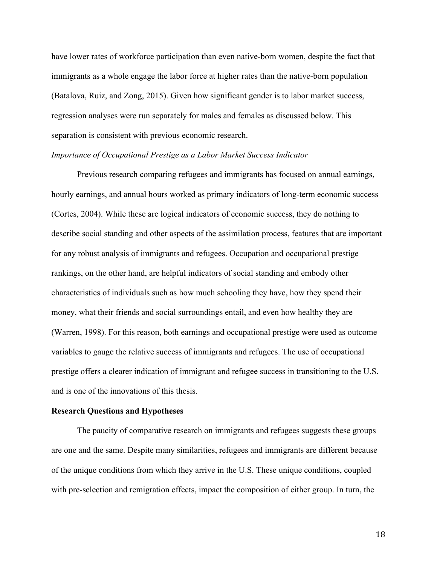have lower rates of workforce participation than even native-born women, despite the fact that immigrants as a whole engage the labor force at higher rates than the native-born population (Batalova, Ruiz, and Zong, 2015). Given how significant gender is to labor market success, regression analyses were run separately for males and females as discussed below. This separation is consistent with previous economic research.

# *Importance of Occupational Prestige as a Labor Market Success Indicator*

Previous research comparing refugees and immigrants has focused on annual earnings, hourly earnings, and annual hours worked as primary indicators of long-term economic success (Cortes, 2004). While these are logical indicators of economic success, they do nothing to describe social standing and other aspects of the assimilation process, features that are important for any robust analysis of immigrants and refugees. Occupation and occupational prestige rankings, on the other hand, are helpful indicators of social standing and embody other characteristics of individuals such as how much schooling they have, how they spend their money, what their friends and social surroundings entail, and even how healthy they are (Warren, 1998). For this reason, both earnings and occupational prestige were used as outcome variables to gauge the relative success of immigrants and refugees. The use of occupational prestige offers a clearer indication of immigrant and refugee success in transitioning to the U.S. and is one of the innovations of this thesis.

### **Research Questions and Hypotheses**

The paucity of comparative research on immigrants and refugees suggests these groups are one and the same. Despite many similarities, refugees and immigrants are different because of the unique conditions from which they arrive in the U.S. These unique conditions, coupled with pre-selection and remigration effects, impact the composition of either group. In turn, the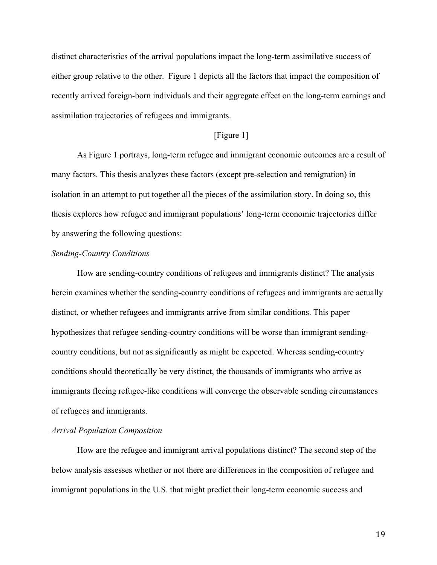distinct characteristics of the arrival populations impact the long-term assimilative success of either group relative to the other. Figure 1 depicts all the factors that impact the composition of recently arrived foreign-born individuals and their aggregate effect on the long-term earnings and assimilation trajectories of refugees and immigrants.

# [Figure 1]

As Figure 1 portrays, long-term refugee and immigrant economic outcomes are a result of many factors. This thesis analyzes these factors (except pre-selection and remigration) in isolation in an attempt to put together all the pieces of the assimilation story. In doing so, this thesis explores how refugee and immigrant populations' long-term economic trajectories differ by answering the following questions:

## *Sending-Country Conditions*

How are sending-country conditions of refugees and immigrants distinct? The analysis herein examines whether the sending-country conditions of refugees and immigrants are actually distinct, or whether refugees and immigrants arrive from similar conditions. This paper hypothesizes that refugee sending-country conditions will be worse than immigrant sendingcountry conditions, but not as significantly as might be expected. Whereas sending-country conditions should theoretically be very distinct, the thousands of immigrants who arrive as immigrants fleeing refugee-like conditions will converge the observable sending circumstances of refugees and immigrants.

# *Arrival Population Composition*

How are the refugee and immigrant arrival populations distinct? The second step of the below analysis assesses whether or not there are differences in the composition of refugee and immigrant populations in the U.S. that might predict their long-term economic success and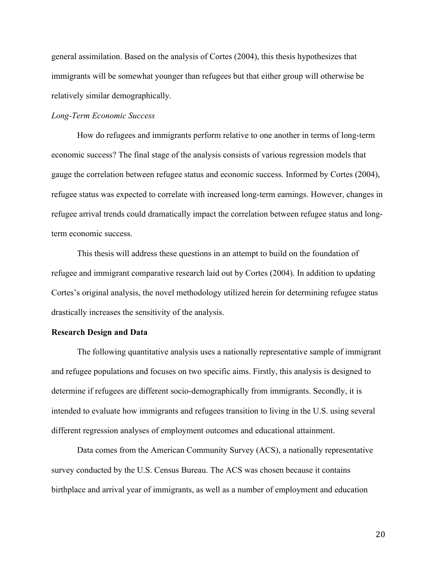general assimilation. Based on the analysis of Cortes (2004), this thesis hypothesizes that immigrants will be somewhat younger than refugees but that either group will otherwise be relatively similar demographically.

# *Long-Term Economic Success*

How do refugees and immigrants perform relative to one another in terms of long-term economic success? The final stage of the analysis consists of various regression models that gauge the correlation between refugee status and economic success. Informed by Cortes (2004), refugee status was expected to correlate with increased long-term earnings. However, changes in refugee arrival trends could dramatically impact the correlation between refugee status and longterm economic success.

This thesis will address these questions in an attempt to build on the foundation of refugee and immigrant comparative research laid out by Cortes (2004). In addition to updating Cortes's original analysis, the novel methodology utilized herein for determining refugee status drastically increases the sensitivity of the analysis.

## **Research Design and Data**

The following quantitative analysis uses a nationally representative sample of immigrant and refugee populations and focuses on two specific aims. Firstly, this analysis is designed to determine if refugees are different socio-demographically from immigrants. Secondly, it is intended to evaluate how immigrants and refugees transition to living in the U.S. using several different regression analyses of employment outcomes and educational attainment.

Data comes from the American Community Survey (ACS), a nationally representative survey conducted by the U.S. Census Bureau. The ACS was chosen because it contains birthplace and arrival year of immigrants, as well as a number of employment and education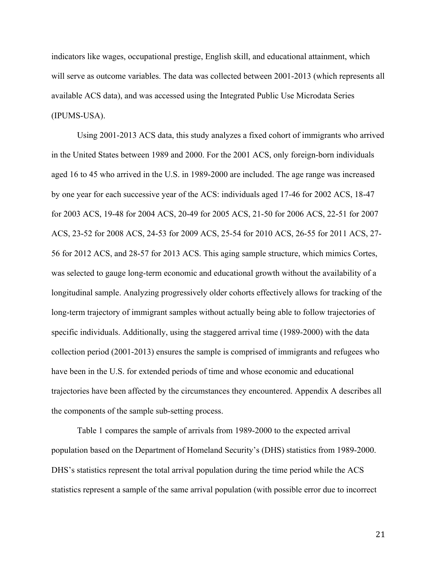indicators like wages, occupational prestige, English skill, and educational attainment, which will serve as outcome variables. The data was collected between 2001-2013 (which represents all available ACS data), and was accessed using the Integrated Public Use Microdata Series (IPUMS-USA).

Using 2001-2013 ACS data, this study analyzes a fixed cohort of immigrants who arrived in the United States between 1989 and 2000. For the 2001 ACS, only foreign-born individuals aged 16 to 45 who arrived in the U.S. in 1989-2000 are included. The age range was increased by one year for each successive year of the ACS: individuals aged 17-46 for 2002 ACS, 18-47 for 2003 ACS, 19-48 for 2004 ACS, 20-49 for 2005 ACS, 21-50 for 2006 ACS, 22-51 for 2007 ACS, 23-52 for 2008 ACS, 24-53 for 2009 ACS, 25-54 for 2010 ACS, 26-55 for 2011 ACS, 27- 56 for 2012 ACS, and 28-57 for 2013 ACS. This aging sample structure, which mimics Cortes, was selected to gauge long-term economic and educational growth without the availability of a longitudinal sample. Analyzing progressively older cohorts effectively allows for tracking of the long-term trajectory of immigrant samples without actually being able to follow trajectories of specific individuals. Additionally, using the staggered arrival time (1989-2000) with the data collection period (2001-2013) ensures the sample is comprised of immigrants and refugees who have been in the U.S. for extended periods of time and whose economic and educational trajectories have been affected by the circumstances they encountered. Appendix A describes all the components of the sample sub-setting process.

Table 1 compares the sample of arrivals from 1989-2000 to the expected arrival population based on the Department of Homeland Security's (DHS) statistics from 1989-2000. DHS's statistics represent the total arrival population during the time period while the ACS statistics represent a sample of the same arrival population (with possible error due to incorrect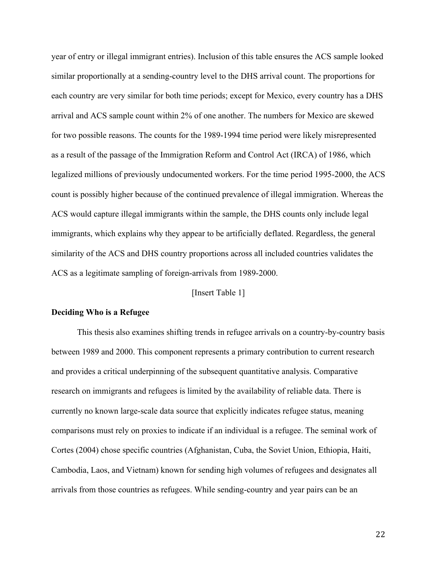year of entry or illegal immigrant entries). Inclusion of this table ensures the ACS sample looked similar proportionally at a sending-country level to the DHS arrival count. The proportions for each country are very similar for both time periods; except for Mexico, every country has a DHS arrival and ACS sample count within 2% of one another. The numbers for Mexico are skewed for two possible reasons. The counts for the 1989-1994 time period were likely misrepresented as a result of the passage of the Immigration Reform and Control Act (IRCA) of 1986, which legalized millions of previously undocumented workers. For the time period 1995-2000, the ACS count is possibly higher because of the continued prevalence of illegal immigration. Whereas the ACS would capture illegal immigrants within the sample, the DHS counts only include legal immigrants, which explains why they appear to be artificially deflated. Regardless, the general similarity of the ACS and DHS country proportions across all included countries validates the ACS as a legitimate sampling of foreign-arrivals from 1989-2000.

# [Insert Table 1]

### **Deciding Who is a Refugee**

This thesis also examines shifting trends in refugee arrivals on a country-by-country basis between 1989 and 2000. This component represents a primary contribution to current research and provides a critical underpinning of the subsequent quantitative analysis. Comparative research on immigrants and refugees is limited by the availability of reliable data. There is currently no known large-scale data source that explicitly indicates refugee status, meaning comparisons must rely on proxies to indicate if an individual is a refugee. The seminal work of Cortes (2004) chose specific countries (Afghanistan, Cuba, the Soviet Union, Ethiopia, Haiti, Cambodia, Laos, and Vietnam) known for sending high volumes of refugees and designates all arrivals from those countries as refugees. While sending-country and year pairs can be an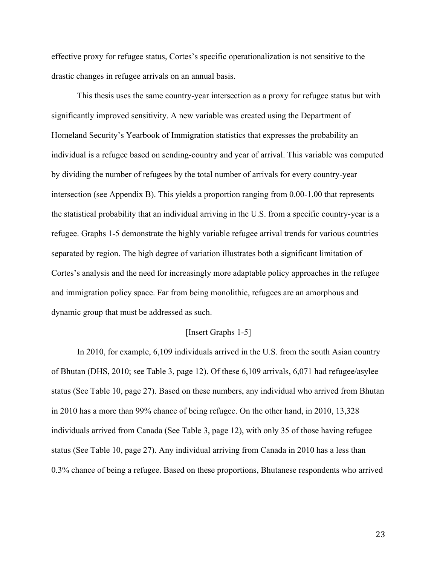effective proxy for refugee status, Cortes's specific operationalization is not sensitive to the drastic changes in refugee arrivals on an annual basis.

This thesis uses the same country-year intersection as a proxy for refugee status but with significantly improved sensitivity. A new variable was created using the Department of Homeland Security's Yearbook of Immigration statistics that expresses the probability an individual is a refugee based on sending-country and year of arrival. This variable was computed by dividing the number of refugees by the total number of arrivals for every country-year intersection (see Appendix B). This yields a proportion ranging from 0.00-1.00 that represents the statistical probability that an individual arriving in the U.S. from a specific country-year is a refugee. Graphs 1-5 demonstrate the highly variable refugee arrival trends for various countries separated by region. The high degree of variation illustrates both a significant limitation of Cortes's analysis and the need for increasingly more adaptable policy approaches in the refugee and immigration policy space. Far from being monolithic, refugees are an amorphous and dynamic group that must be addressed as such.

# [Insert Graphs 1-5]

In 2010, for example, 6,109 individuals arrived in the U.S. from the south Asian country of Bhutan (DHS, 2010; see Table 3, page 12). Of these 6,109 arrivals, 6,071 had refugee/asylee status (See Table 10, page 27). Based on these numbers, any individual who arrived from Bhutan in 2010 has a more than 99% chance of being refugee. On the other hand, in 2010, 13,328 individuals arrived from Canada (See Table 3, page 12), with only 35 of those having refugee status (See Table 10, page 27). Any individual arriving from Canada in 2010 has a less than 0.3% chance of being a refugee. Based on these proportions, Bhutanese respondents who arrived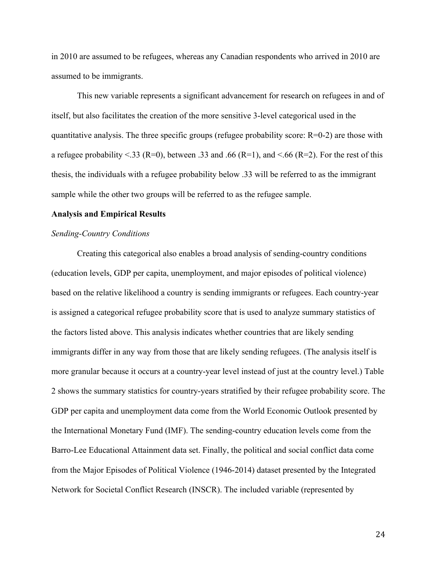in 2010 are assumed to be refugees, whereas any Canadian respondents who arrived in 2010 are assumed to be immigrants.

This new variable represents a significant advancement for research on refugees in and of itself, but also facilitates the creation of the more sensitive 3-level categorical used in the quantitative analysis. The three specific groups (refugee probability score:  $R=0-2$ ) are those with a refugee probability <.33 (R=0), between .33 and .66 (R=1), and <.66 (R=2). For the rest of this thesis, the individuals with a refugee probability below .33 will be referred to as the immigrant sample while the other two groups will be referred to as the refugee sample.

#### **Analysis and Empirical Results**

# *Sending-Country Conditions*

Creating this categorical also enables a broad analysis of sending-country conditions (education levels, GDP per capita, unemployment, and major episodes of political violence) based on the relative likelihood a country is sending immigrants or refugees. Each country-year is assigned a categorical refugee probability score that is used to analyze summary statistics of the factors listed above. This analysis indicates whether countries that are likely sending immigrants differ in any way from those that are likely sending refugees. (The analysis itself is more granular because it occurs at a country-year level instead of just at the country level.) Table 2 shows the summary statistics for country-years stratified by their refugee probability score. The GDP per capita and unemployment data come from the World Economic Outlook presented by the International Monetary Fund (IMF). The sending-country education levels come from the Barro-Lee Educational Attainment data set. Finally, the political and social conflict data come from the Major Episodes of Political Violence (1946-2014) dataset presented by the Integrated Network for Societal Conflict Research (INSCR). The included variable (represented by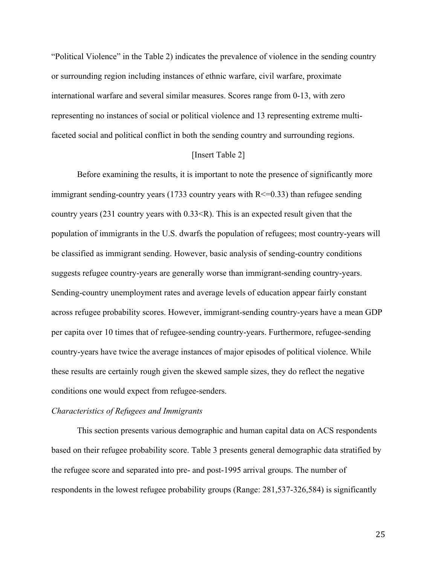"Political Violence" in the Table 2) indicates the prevalence of violence in the sending country or surrounding region including instances of ethnic warfare, civil warfare, proximate international warfare and several similar measures. Scores range from 0-13, with zero representing no instances of social or political violence and 13 representing extreme multifaceted social and political conflict in both the sending country and surrounding regions.

# [Insert Table 2]

Before examining the results, it is important to note the presence of significantly more immigrant sending-country years (1733 country years with  $R \le 0.33$ ) than refugee sending country years (231 country years with 0.33<R). This is an expected result given that the population of immigrants in the U.S. dwarfs the population of refugees; most country-years will be classified as immigrant sending. However, basic analysis of sending-country conditions suggests refugee country-years are generally worse than immigrant-sending country-years. Sending-country unemployment rates and average levels of education appear fairly constant across refugee probability scores. However, immigrant-sending country-years have a mean GDP per capita over 10 times that of refugee-sending country-years. Furthermore, refugee-sending country-years have twice the average instances of major episodes of political violence. While these results are certainly rough given the skewed sample sizes, they do reflect the negative conditions one would expect from refugee-senders.

### *Characteristics of Refugees and Immigrants*

This section presents various demographic and human capital data on ACS respondents based on their refugee probability score. Table 3 presents general demographic data stratified by the refugee score and separated into pre- and post-1995 arrival groups. The number of respondents in the lowest refugee probability groups (Range: 281,537-326,584) is significantly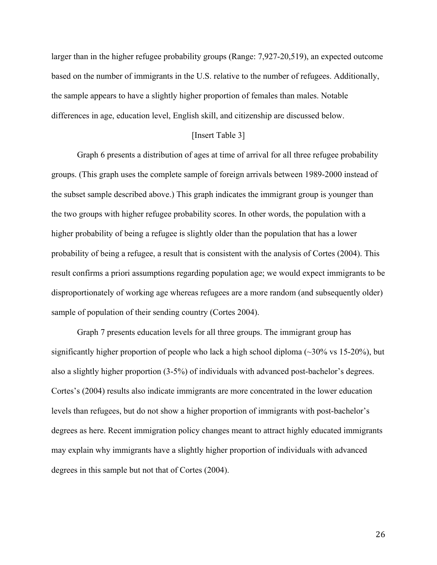larger than in the higher refugee probability groups (Range: 7,927-20,519), an expected outcome based on the number of immigrants in the U.S. relative to the number of refugees. Additionally, the sample appears to have a slightly higher proportion of females than males. Notable differences in age, education level, English skill, and citizenship are discussed below.

# [Insert Table 3]

Graph 6 presents a distribution of ages at time of arrival for all three refugee probability groups. (This graph uses the complete sample of foreign arrivals between 1989-2000 instead of the subset sample described above.) This graph indicates the immigrant group is younger than the two groups with higher refugee probability scores. In other words, the population with a higher probability of being a refugee is slightly older than the population that has a lower probability of being a refugee, a result that is consistent with the analysis of Cortes (2004). This result confirms a priori assumptions regarding population age; we would expect immigrants to be disproportionately of working age whereas refugees are a more random (and subsequently older) sample of population of their sending country (Cortes 2004).

Graph 7 presents education levels for all three groups. The immigrant group has significantly higher proportion of people who lack a high school diploma  $(\sim]30\%$  vs 15-20%), but also a slightly higher proportion (3-5%) of individuals with advanced post-bachelor's degrees. Cortes's (2004) results also indicate immigrants are more concentrated in the lower education levels than refugees, but do not show a higher proportion of immigrants with post-bachelor's degrees as here. Recent immigration policy changes meant to attract highly educated immigrants may explain why immigrants have a slightly higher proportion of individuals with advanced degrees in this sample but not that of Cortes (2004).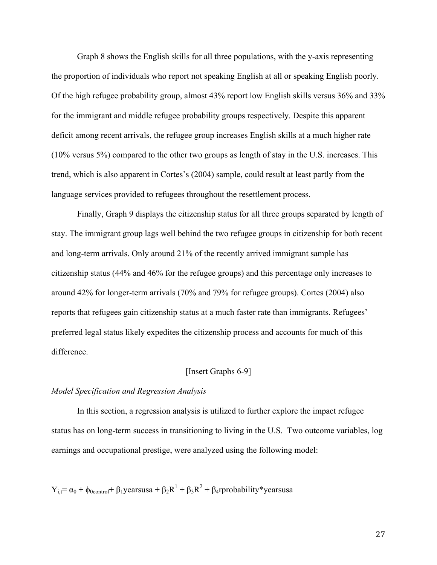Graph 8 shows the English skills for all three populations, with the y-axis representing the proportion of individuals who report not speaking English at all or speaking English poorly. Of the high refugee probability group, almost 43% report low English skills versus 36% and 33% for the immigrant and middle refugee probability groups respectively. Despite this apparent deficit among recent arrivals, the refugee group increases English skills at a much higher rate (10% versus 5%) compared to the other two groups as length of stay in the U.S. increases. This trend, which is also apparent in Cortes's (2004) sample, could result at least partly from the language services provided to refugees throughout the resettlement process.

Finally, Graph 9 displays the citizenship status for all three groups separated by length of stay. The immigrant group lags well behind the two refugee groups in citizenship for both recent and long-term arrivals. Only around 21% of the recently arrived immigrant sample has citizenship status (44% and 46% for the refugee groups) and this percentage only increases to around 42% for longer-term arrivals (70% and 79% for refugee groups). Cortes (2004) also reports that refugees gain citizenship status at a much faster rate than immigrants. Refugees' preferred legal status likely expedites the citizenship process and accounts for much of this difference.

# [Insert Graphs 6-9]

## *Model Specification and Regression Analysis*

In this section, a regression analysis is utilized to further explore the impact refugee status has on long-term success in transitioning to living in the U.S. Two outcome variables, log earnings and occupational prestige, were analyzed using the following model:

$$
Y_{i,t} = \alpha_0 + \phi_{0control} + \beta_1 \text{yearsusa} + \beta_2 R^1 + \beta_3 R^2 + \beta_4 \text{rprobability*yearsusa}
$$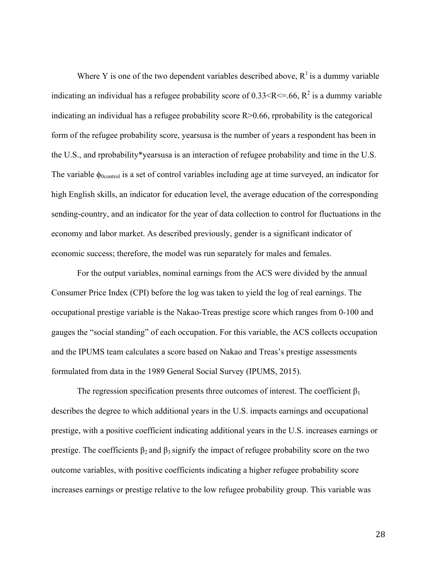Where Y is one of the two dependent variables described above,  $R^1$  is a dummy variable indicating an individual has a refugee probability score of  $0.33 < R \le 66$ ,  $R^2$  is a dummy variable indicating an individual has a refugee probability score  $R > 0.66$ , rprobability is the categorical form of the refugee probability score, yearsusa is the number of years a respondent has been in the U.S., and rprobability\*yearsusa is an interaction of refugee probability and time in the U.S. The variable  $\phi_{0\text{control}}$  is a set of control variables including age at time surveyed, an indicator for high English skills, an indicator for education level, the average education of the corresponding sending-country, and an indicator for the year of data collection to control for fluctuations in the economy and labor market. As described previously, gender is a significant indicator of economic success; therefore, the model was run separately for males and females.

For the output variables, nominal earnings from the ACS were divided by the annual Consumer Price Index (CPI) before the log was taken to yield the log of real earnings. The occupational prestige variable is the Nakao-Treas prestige score which ranges from 0-100 and gauges the "social standing" of each occupation. For this variable, the ACS collects occupation and the IPUMS team calculates a score based on Nakao and Treas's prestige assessments formulated from data in the 1989 General Social Survey (IPUMS, 2015).

The regression specification presents three outcomes of interest. The coefficient  $\beta_1$ describes the degree to which additional years in the U.S. impacts earnings and occupational prestige, with a positive coefficient indicating additional years in the U.S. increases earnings or prestige. The coefficients  $\beta_2$  and  $\beta_3$  signify the impact of refugee probability score on the two outcome variables, with positive coefficients indicating a higher refugee probability score increases earnings or prestige relative to the low refugee probability group. This variable was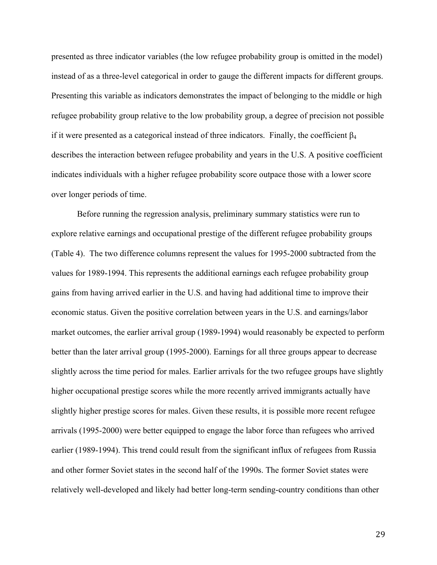presented as three indicator variables (the low refugee probability group is omitted in the model) instead of as a three-level categorical in order to gauge the different impacts for different groups. Presenting this variable as indicators demonstrates the impact of belonging to the middle or high refugee probability group relative to the low probability group, a degree of precision not possible if it were presented as a categorical instead of three indicators. Finally, the coefficient  $\beta_4$ describes the interaction between refugee probability and years in the U.S. A positive coefficient indicates individuals with a higher refugee probability score outpace those with a lower score over longer periods of time.

Before running the regression analysis, preliminary summary statistics were run to explore relative earnings and occupational prestige of the different refugee probability groups (Table 4). The two difference columns represent the values for 1995-2000 subtracted from the values for 1989-1994. This represents the additional earnings each refugee probability group gains from having arrived earlier in the U.S. and having had additional time to improve their economic status. Given the positive correlation between years in the U.S. and earnings/labor market outcomes, the earlier arrival group (1989-1994) would reasonably be expected to perform better than the later arrival group (1995-2000). Earnings for all three groups appear to decrease slightly across the time period for males. Earlier arrivals for the two refugee groups have slightly higher occupational prestige scores while the more recently arrived immigrants actually have slightly higher prestige scores for males. Given these results, it is possible more recent refugee arrivals (1995-2000) were better equipped to engage the labor force than refugees who arrived earlier (1989-1994). This trend could result from the significant influx of refugees from Russia and other former Soviet states in the second half of the 1990s. The former Soviet states were relatively well-developed and likely had better long-term sending-country conditions than other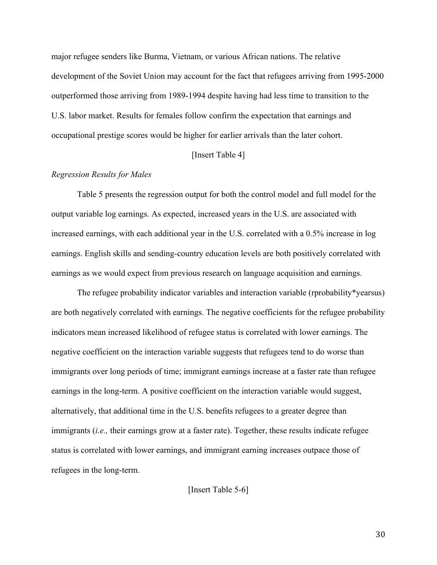major refugee senders like Burma, Vietnam, or various African nations. The relative development of the Soviet Union may account for the fact that refugees arriving from 1995-2000 outperformed those arriving from 1989-1994 despite having had less time to transition to the U.S. labor market. Results for females follow confirm the expectation that earnings and occupational prestige scores would be higher for earlier arrivals than the later cohort.

# [Insert Table 4]

# *Regression Results for Males*

Table 5 presents the regression output for both the control model and full model for the output variable log earnings. As expected, increased years in the U.S. are associated with increased earnings, with each additional year in the U.S. correlated with a 0.5% increase in log earnings. English skills and sending-country education levels are both positively correlated with earnings as we would expect from previous research on language acquisition and earnings.

The refugee probability indicator variables and interaction variable (rprobability\*yearsus) are both negatively correlated with earnings. The negative coefficients for the refugee probability indicators mean increased likelihood of refugee status is correlated with lower earnings. The negative coefficient on the interaction variable suggests that refugees tend to do worse than immigrants over long periods of time; immigrant earnings increase at a faster rate than refugee earnings in the long-term. A positive coefficient on the interaction variable would suggest, alternatively, that additional time in the U.S. benefits refugees to a greater degree than immigrants *(i.e., their earnings grow at a faster rate)*. Together, these results indicate refugee status is correlated with lower earnings, and immigrant earning increases outpace those of refugees in the long-term.

[Insert Table 5-6]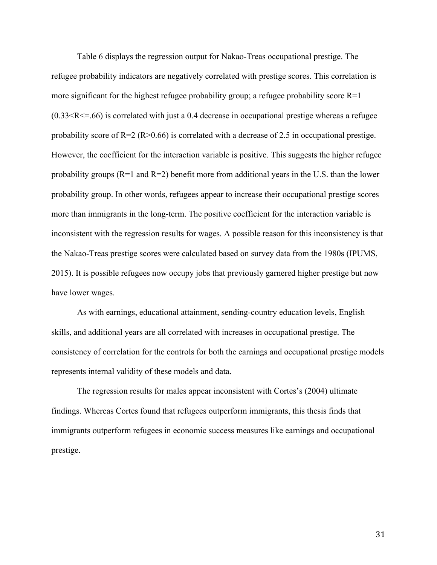Table 6 displays the regression output for Nakao-Treas occupational prestige. The refugee probability indicators are negatively correlated with prestige scores. This correlation is more significant for the highest refugee probability group; a refugee probability score  $R=1$  $(0.33 < R \le 66)$  is correlated with just a 0.4 decrease in occupational prestige whereas a refugee probability score of  $R=2$  ( $R>0.66$ ) is correlated with a decrease of 2.5 in occupational prestige. However, the coefficient for the interaction variable is positive. This suggests the higher refugee probability groups  $(R=1 \text{ and } R=2)$  benefit more from additional years in the U.S. than the lower probability group. In other words, refugees appear to increase their occupational prestige scores more than immigrants in the long-term. The positive coefficient for the interaction variable is inconsistent with the regression results for wages. A possible reason for this inconsistency is that the Nakao-Treas prestige scores were calculated based on survey data from the 1980s (IPUMS, 2015). It is possible refugees now occupy jobs that previously garnered higher prestige but now have lower wages.

As with earnings, educational attainment, sending-country education levels, English skills, and additional years are all correlated with increases in occupational prestige. The consistency of correlation for the controls for both the earnings and occupational prestige models represents internal validity of these models and data.

The regression results for males appear inconsistent with Cortes's (2004) ultimate findings. Whereas Cortes found that refugees outperform immigrants, this thesis finds that immigrants outperform refugees in economic success measures like earnings and occupational prestige.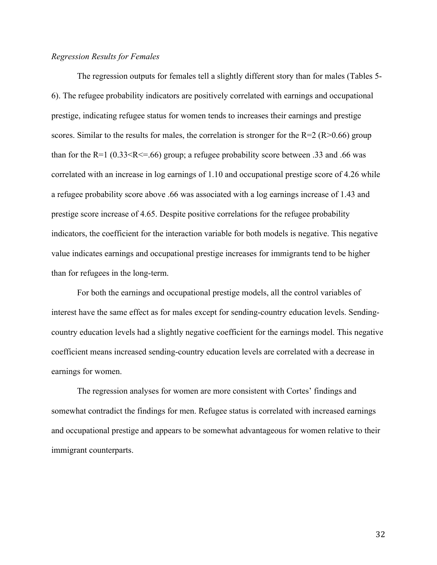## *Regression Results for Females*

The regression outputs for females tell a slightly different story than for males (Tables 5- 6). The refugee probability indicators are positively correlated with earnings and occupational prestige, indicating refugee status for women tends to increases their earnings and prestige scores. Similar to the results for males, the correlation is stronger for the  $R=2 (R>0.66)$  group than for the R=1  $(0.33 \le R \le 0.66)$  group; a refugee probability score between .33 and .66 was correlated with an increase in log earnings of 1.10 and occupational prestige score of 4.26 while a refugee probability score above .66 was associated with a log earnings increase of 1.43 and prestige score increase of 4.65. Despite positive correlations for the refugee probability indicators, the coefficient for the interaction variable for both models is negative. This negative value indicates earnings and occupational prestige increases for immigrants tend to be higher than for refugees in the long-term.

For both the earnings and occupational prestige models, all the control variables of interest have the same effect as for males except for sending-country education levels. Sendingcountry education levels had a slightly negative coefficient for the earnings model. This negative coefficient means increased sending-country education levels are correlated with a decrease in earnings for women.

The regression analyses for women are more consistent with Cortes' findings and somewhat contradict the findings for men. Refugee status is correlated with increased earnings and occupational prestige and appears to be somewhat advantageous for women relative to their immigrant counterparts.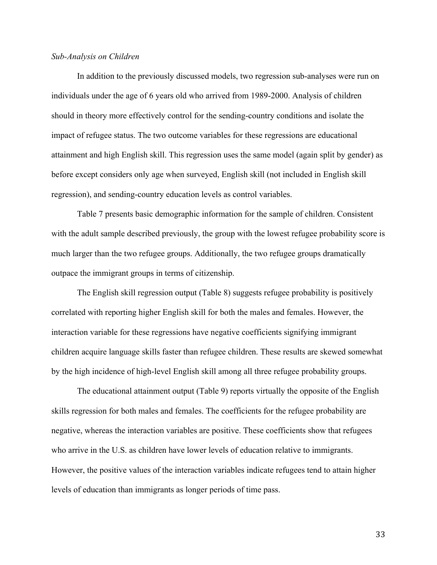# *Sub-Analysis on Children*

In addition to the previously discussed models, two regression sub-analyses were run on individuals under the age of 6 years old who arrived from 1989-2000. Analysis of children should in theory more effectively control for the sending-country conditions and isolate the impact of refugee status. The two outcome variables for these regressions are educational attainment and high English skill. This regression uses the same model (again split by gender) as before except considers only age when surveyed, English skill (not included in English skill regression), and sending-country education levels as control variables.

Table 7 presents basic demographic information for the sample of children. Consistent with the adult sample described previously, the group with the lowest refugee probability score is much larger than the two refugee groups. Additionally, the two refugee groups dramatically outpace the immigrant groups in terms of citizenship.

The English skill regression output (Table 8) suggests refugee probability is positively correlated with reporting higher English skill for both the males and females. However, the interaction variable for these regressions have negative coefficients signifying immigrant children acquire language skills faster than refugee children. These results are skewed somewhat by the high incidence of high-level English skill among all three refugee probability groups.

The educational attainment output (Table 9) reports virtually the opposite of the English skills regression for both males and females. The coefficients for the refugee probability are negative, whereas the interaction variables are positive. These coefficients show that refugees who arrive in the U.S. as children have lower levels of education relative to immigrants. However, the positive values of the interaction variables indicate refugees tend to attain higher levels of education than immigrants as longer periods of time pass.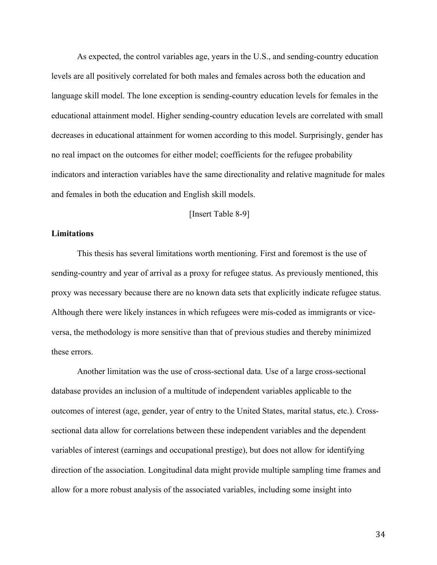As expected, the control variables age, years in the U.S., and sending-country education levels are all positively correlated for both males and females across both the education and language skill model. The lone exception is sending-country education levels for females in the educational attainment model. Higher sending-country education levels are correlated with small decreases in educational attainment for women according to this model. Surprisingly, gender has no real impact on the outcomes for either model; coefficients for the refugee probability indicators and interaction variables have the same directionality and relative magnitude for males and females in both the education and English skill models.

# [Insert Table 8-9]

# **Limitations**

This thesis has several limitations worth mentioning. First and foremost is the use of sending-country and year of arrival as a proxy for refugee status. As previously mentioned, this proxy was necessary because there are no known data sets that explicitly indicate refugee status. Although there were likely instances in which refugees were mis-coded as immigrants or viceversa, the methodology is more sensitive than that of previous studies and thereby minimized these errors.

Another limitation was the use of cross-sectional data. Use of a large cross-sectional database provides an inclusion of a multitude of independent variables applicable to the outcomes of interest (age, gender, year of entry to the United States, marital status, etc.). Crosssectional data allow for correlations between these independent variables and the dependent variables of interest (earnings and occupational prestige), but does not allow for identifying direction of the association. Longitudinal data might provide multiple sampling time frames and allow for a more robust analysis of the associated variables, including some insight into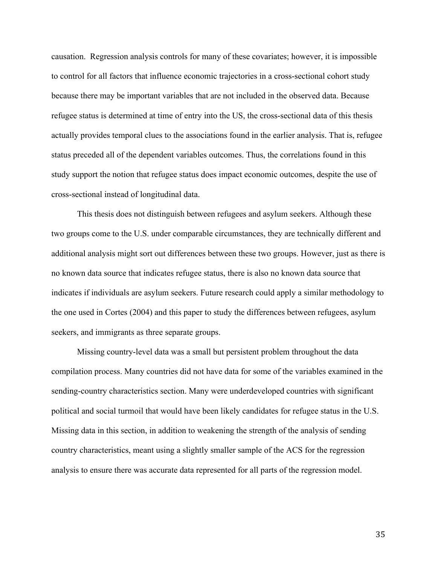causation. Regression analysis controls for many of these covariates; however, it is impossible to control for all factors that influence economic trajectories in a cross-sectional cohort study because there may be important variables that are not included in the observed data. Because refugee status is determined at time of entry into the US, the cross-sectional data of this thesis actually provides temporal clues to the associations found in the earlier analysis. That is, refugee status preceded all of the dependent variables outcomes. Thus, the correlations found in this study support the notion that refugee status does impact economic outcomes, despite the use of cross-sectional instead of longitudinal data.

This thesis does not distinguish between refugees and asylum seekers. Although these two groups come to the U.S. under comparable circumstances, they are technically different and additional analysis might sort out differences between these two groups. However, just as there is no known data source that indicates refugee status, there is also no known data source that indicates if individuals are asylum seekers. Future research could apply a similar methodology to the one used in Cortes (2004) and this paper to study the differences between refugees, asylum seekers, and immigrants as three separate groups.

Missing country-level data was a small but persistent problem throughout the data compilation process. Many countries did not have data for some of the variables examined in the sending-country characteristics section. Many were underdeveloped countries with significant political and social turmoil that would have been likely candidates for refugee status in the U.S. Missing data in this section, in addition to weakening the strength of the analysis of sending country characteristics, meant using a slightly smaller sample of the ACS for the regression analysis to ensure there was accurate data represented for all parts of the regression model.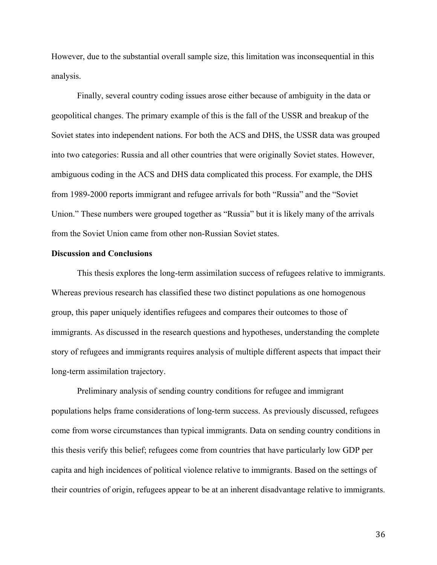However, due to the substantial overall sample size, this limitation was inconsequential in this analysis.

Finally, several country coding issues arose either because of ambiguity in the data or geopolitical changes. The primary example of this is the fall of the USSR and breakup of the Soviet states into independent nations. For both the ACS and DHS, the USSR data was grouped into two categories: Russia and all other countries that were originally Soviet states. However, ambiguous coding in the ACS and DHS data complicated this process. For example, the DHS from 1989-2000 reports immigrant and refugee arrivals for both "Russia" and the "Soviet Union." These numbers were grouped together as "Russia" but it is likely many of the arrivals from the Soviet Union came from other non-Russian Soviet states.

## **Discussion and Conclusions**

This thesis explores the long-term assimilation success of refugees relative to immigrants. Whereas previous research has classified these two distinct populations as one homogenous group, this paper uniquely identifies refugees and compares their outcomes to those of immigrants. As discussed in the research questions and hypotheses, understanding the complete story of refugees and immigrants requires analysis of multiple different aspects that impact their long-term assimilation trajectory.

Preliminary analysis of sending country conditions for refugee and immigrant populations helps frame considerations of long-term success. As previously discussed, refugees come from worse circumstances than typical immigrants. Data on sending country conditions in this thesis verify this belief; refugees come from countries that have particularly low GDP per capita and high incidences of political violence relative to immigrants. Based on the settings of their countries of origin, refugees appear to be at an inherent disadvantage relative to immigrants.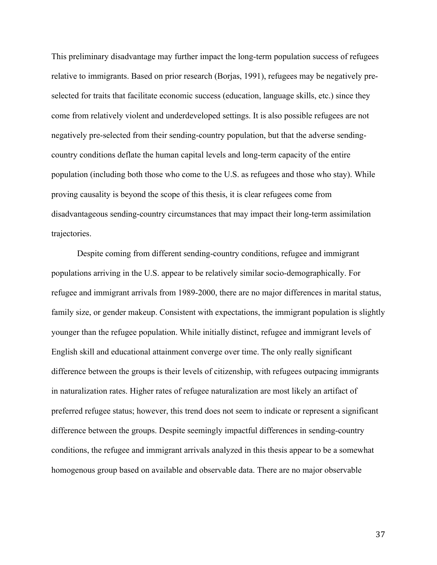This preliminary disadvantage may further impact the long-term population success of refugees relative to immigrants. Based on prior research (Borjas, 1991), refugees may be negatively preselected for traits that facilitate economic success (education, language skills, etc.) since they come from relatively violent and underdeveloped settings. It is also possible refugees are not negatively pre-selected from their sending-country population, but that the adverse sendingcountry conditions deflate the human capital levels and long-term capacity of the entire population (including both those who come to the U.S. as refugees and those who stay). While proving causality is beyond the scope of this thesis, it is clear refugees come from disadvantageous sending-country circumstances that may impact their long-term assimilation trajectories.

Despite coming from different sending-country conditions, refugee and immigrant populations arriving in the U.S. appear to be relatively similar socio-demographically. For refugee and immigrant arrivals from 1989-2000, there are no major differences in marital status, family size, or gender makeup. Consistent with expectations, the immigrant population is slightly younger than the refugee population. While initially distinct, refugee and immigrant levels of English skill and educational attainment converge over time. The only really significant difference between the groups is their levels of citizenship, with refugees outpacing immigrants in naturalization rates. Higher rates of refugee naturalization are most likely an artifact of preferred refugee status; however, this trend does not seem to indicate or represent a significant difference between the groups. Despite seemingly impactful differences in sending-country conditions, the refugee and immigrant arrivals analyzed in this thesis appear to be a somewhat homogenous group based on available and observable data. There are no major observable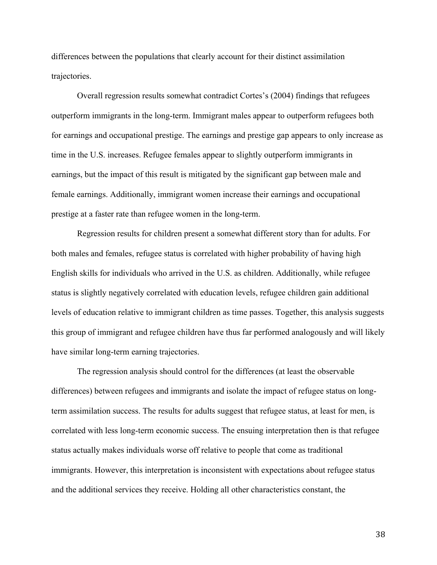differences between the populations that clearly account for their distinct assimilation trajectories.

Overall regression results somewhat contradict Cortes's (2004) findings that refugees outperform immigrants in the long-term. Immigrant males appear to outperform refugees both for earnings and occupational prestige. The earnings and prestige gap appears to only increase as time in the U.S. increases. Refugee females appear to slightly outperform immigrants in earnings, but the impact of this result is mitigated by the significant gap between male and female earnings. Additionally, immigrant women increase their earnings and occupational prestige at a faster rate than refugee women in the long-term.

Regression results for children present a somewhat different story than for adults. For both males and females, refugee status is correlated with higher probability of having high English skills for individuals who arrived in the U.S. as children. Additionally, while refugee status is slightly negatively correlated with education levels, refugee children gain additional levels of education relative to immigrant children as time passes. Together, this analysis suggests this group of immigrant and refugee children have thus far performed analogously and will likely have similar long-term earning trajectories.

The regression analysis should control for the differences (at least the observable differences) between refugees and immigrants and isolate the impact of refugee status on longterm assimilation success. The results for adults suggest that refugee status, at least for men, is correlated with less long-term economic success. The ensuing interpretation then is that refugee status actually makes individuals worse off relative to people that come as traditional immigrants. However, this interpretation is inconsistent with expectations about refugee status and the additional services they receive. Holding all other characteristics constant, the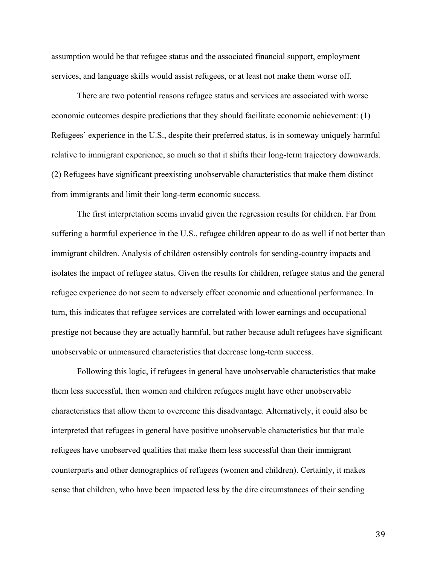assumption would be that refugee status and the associated financial support, employment services, and language skills would assist refugees, or at least not make them worse off.

There are two potential reasons refugee status and services are associated with worse economic outcomes despite predictions that they should facilitate economic achievement: (1) Refugees' experience in the U.S., despite their preferred status, is in someway uniquely harmful relative to immigrant experience, so much so that it shifts their long-term trajectory downwards. (2) Refugees have significant preexisting unobservable characteristics that make them distinct from immigrants and limit their long-term economic success.

The first interpretation seems invalid given the regression results for children. Far from suffering a harmful experience in the U.S., refugee children appear to do as well if not better than immigrant children. Analysis of children ostensibly controls for sending-country impacts and isolates the impact of refugee status. Given the results for children, refugee status and the general refugee experience do not seem to adversely effect economic and educational performance. In turn, this indicates that refugee services are correlated with lower earnings and occupational prestige not because they are actually harmful, but rather because adult refugees have significant unobservable or unmeasured characteristics that decrease long-term success.

Following this logic, if refugees in general have unobservable characteristics that make them less successful, then women and children refugees might have other unobservable characteristics that allow them to overcome this disadvantage. Alternatively, it could also be interpreted that refugees in general have positive unobservable characteristics but that male refugees have unobserved qualities that make them less successful than their immigrant counterparts and other demographics of refugees (women and children). Certainly, it makes sense that children, who have been impacted less by the dire circumstances of their sending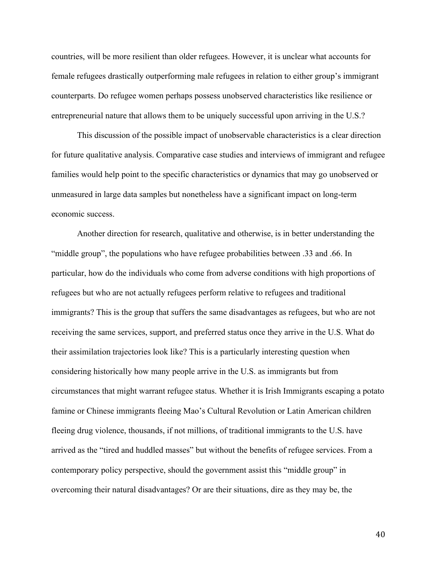countries, will be more resilient than older refugees. However, it is unclear what accounts for female refugees drastically outperforming male refugees in relation to either group's immigrant counterparts. Do refugee women perhaps possess unobserved characteristics like resilience or entrepreneurial nature that allows them to be uniquely successful upon arriving in the U.S.?

This discussion of the possible impact of unobservable characteristics is a clear direction for future qualitative analysis. Comparative case studies and interviews of immigrant and refugee families would help point to the specific characteristics or dynamics that may go unobserved or unmeasured in large data samples but nonetheless have a significant impact on long-term economic success.

Another direction for research, qualitative and otherwise, is in better understanding the "middle group", the populations who have refugee probabilities between .33 and .66. In particular, how do the individuals who come from adverse conditions with high proportions of refugees but who are not actually refugees perform relative to refugees and traditional immigrants? This is the group that suffers the same disadvantages as refugees, but who are not receiving the same services, support, and preferred status once they arrive in the U.S. What do their assimilation trajectories look like? This is a particularly interesting question when considering historically how many people arrive in the U.S. as immigrants but from circumstances that might warrant refugee status. Whether it is Irish Immigrants escaping a potato famine or Chinese immigrants fleeing Mao's Cultural Revolution or Latin American children fleeing drug violence, thousands, if not millions, of traditional immigrants to the U.S. have arrived as the "tired and huddled masses" but without the benefits of refugee services. From a contemporary policy perspective, should the government assist this "middle group" in overcoming their natural disadvantages? Or are their situations, dire as they may be, the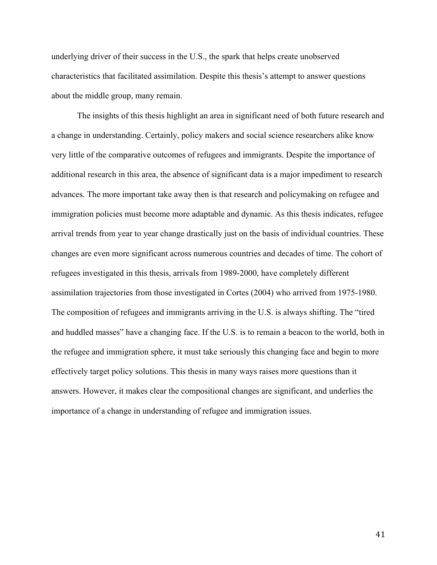underlying driver of their success in the U.S., the spark that helps create unobserved characteristics that facilitated assimilation. Despite this thesis's attempt to answer questions about the middle group, many remain.

The insights of this thesis highlight an area in significant need of both future research and a change in understanding. Certainly, policy makers and social science researchers alike know very little of the comparative outcomes of refugees and immigrants. Despite the importance of additional research in this area, the absence of significant data is a major impediment to research advances. The more important take away then is that research and policymaking on refugee and immigration policies must become more adaptable and dynamic. As this thesis indicates, refugee arrival trends from year to year change drastically just on the basis of individual countries. These changes are even more significant across numerous countries and decades of time. The cohort of refugees investigated in this thesis, arrivals from 1989-2000, have completely different assimilation trajectories from those investigated in Cortes (2004) who arrived from 1975-1980. The composition of refugees and immigrants arriving in the U.S. is always shifting. The "tired and huddled masses" have a changing face. If the U.S. is to remain a beacon to the world, both in the refugee and immigration sphere, it must take seriously this changing face and begin to more effectively target policy solutions. This thesis in many ways raises more questions than it answers. However, it makes clear the compositional changes are significant, and underlies the importance of a change in understanding of refugee and immigration issues.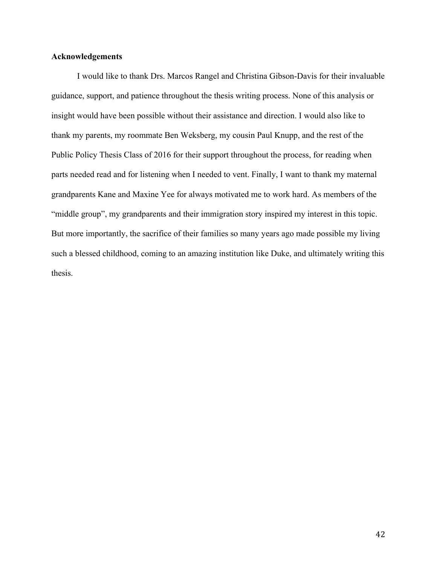# **Acknowledgements**

I would like to thank Drs. Marcos Rangel and Christina Gibson-Davis for their invaluable guidance, support, and patience throughout the thesis writing process. None of this analysis or insight would have been possible without their assistance and direction. I would also like to thank my parents, my roommate Ben Weksberg, my cousin Paul Knupp, and the rest of the Public Policy Thesis Class of 2016 for their support throughout the process, for reading when parts needed read and for listening when I needed to vent. Finally, I want to thank my maternal grandparents Kane and Maxine Yee for always motivated me to work hard. As members of the "middle group", my grandparents and their immigration story inspired my interest in this topic. But more importantly, the sacrifice of their families so many years ago made possible my living such a blessed childhood, coming to an amazing institution like Duke, and ultimately writing this thesis.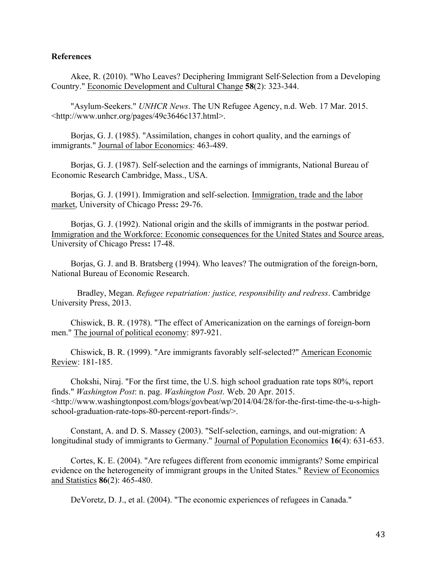# **References**

Akee, R. (2010). "Who Leaves? Deciphering Immigrant Self‐Selection from a Developing Country." Economic Development and Cultural Change **58**(2): 323-344.

"Asylum-Seekers." *UNHCR News*. The UN Refugee Agency, n.d. Web. 17 Mar. 2015. <http://www.unhcr.org/pages/49c3646c137.html>.

Borjas, G. J. (1985). "Assimilation, changes in cohort quality, and the earnings of immigrants." Journal of labor Economics: 463-489.

Borjas, G. J. (1987). Self-selection and the earnings of immigrants, National Bureau of Economic Research Cambridge, Mass., USA.

Borjas, G. J. (1991). Immigration and self-selection. Immigration, trade and the labor market, University of Chicago Press**:** 29-76.

Borjas, G. J. (1992). National origin and the skills of immigrants in the postwar period. Immigration and the Workforce: Economic consequences for the United States and Source areas, University of Chicago Press**:** 17-48.

Borjas, G. J. and B. Bratsberg (1994). Who leaves? The outmigration of the foreign-born, National Bureau of Economic Research.

Bradley, Megan. *Refugee repatriation: justice, responsibility and redress*. Cambridge University Press, 2013.

Chiswick, B. R. (1978). "The effect of Americanization on the earnings of foreign-born men." The journal of political economy: 897-921.

Chiswick, B. R. (1999). "Are immigrants favorably self-selected?" American Economic Review: 181-185.

Chokshi, Niraj. "For the first time, the U.S. high school graduation rate tops 80%, report finds." *Washington Post*: n. pag. *Washington Post*. Web. 20 Apr. 2015. <http://www.washingtonpost.com/blogs/govbeat/wp/2014/04/28/for-the-first-time-the-u-s-highschool-graduation-rate-tops-80-percent-report-finds/>.

Constant, A. and D. S. Massey (2003). "Self-selection, earnings, and out-migration: A longitudinal study of immigrants to Germany." Journal of Population Economics **16**(4): 631-653.

Cortes, K. E. (2004). "Are refugees different from economic immigrants? Some empirical evidence on the heterogeneity of immigrant groups in the United States." Review of Economics and Statistics **86**(2): 465-480.

DeVoretz, D. J., et al. (2004). "The economic experiences of refugees in Canada."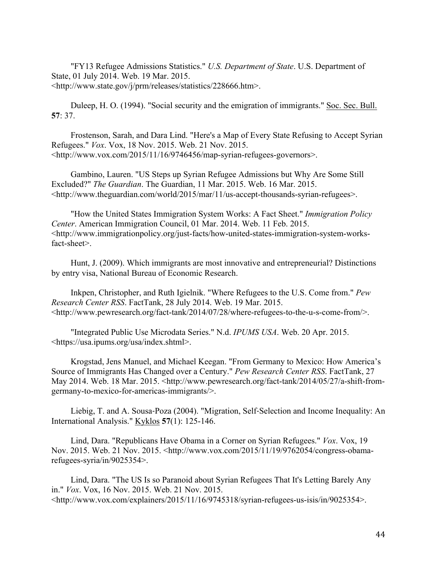"FY13 Refugee Admissions Statistics." *U.S. Department of State*. U.S. Department of State, 01 July 2014. Web. 19 Mar. 2015. <http://www.state.gov/j/prm/releases/statistics/228666.htm>.

Duleep, H. O. (1994). "Social security and the emigration of immigrants." Soc. Sec. Bull. **57**: 37.

Frostenson, Sarah, and Dara Lind. "Here's a Map of Every State Refusing to Accept Syrian Refugees." *Vox*. Vox, 18 Nov. 2015. Web. 21 Nov. 2015. <http://www.vox.com/2015/11/16/9746456/map-syrian-refugees-governors>.

Gambino, Lauren. "US Steps up Syrian Refugee Admissions but Why Are Some Still Excluded?" *The Guardian*. The Guardian, 11 Mar. 2015. Web. 16 Mar. 2015. <http://www.theguardian.com/world/2015/mar/11/us-accept-thousands-syrian-refugees>.

"How the United States Immigration System Works: A Fact Sheet." *Immigration Policy Center*. American Immigration Council, 01 Mar. 2014. Web. 11 Feb. 2015. <http://www.immigrationpolicy.org/just-facts/how-united-states-immigration-system-worksfact-sheet>.

Hunt, J. (2009). Which immigrants are most innovative and entrepreneurial? Distinctions by entry visa, National Bureau of Economic Research.

Inkpen, Christopher, and Ruth Igielnik. "Where Refugees to the U.S. Come from." *Pew Research Center RSS*. FactTank, 28 July 2014. Web. 19 Mar. 2015. <http://www.pewresearch.org/fact-tank/2014/07/28/where-refugees-to-the-u-s-come-from/>.

"Integrated Public Use Microdata Series." N.d. *IPUMS USA*. Web. 20 Apr. 2015. <https://usa.ipums.org/usa/index.shtml>.

Krogstad, Jens Manuel, and Michael Keegan. "From Germany to Mexico: How America's Source of Immigrants Has Changed over a Century." *Pew Research Center RSS*. FactTank, 27 May 2014. Web. 18 Mar. 2015. <http://www.pewresearch.org/fact-tank/2014/05/27/a-shift-fromgermany-to-mexico-for-americas-immigrants/>.

Liebig, T. and A. Sousa‐Poza (2004). "Migration, Self‐Selection and Income Inequality: An International Analysis." Kyklos **57**(1): 125-146.

Lind, Dara. "Republicans Have Obama in a Corner on Syrian Refugees." *Vox*. Vox, 19 Nov. 2015. Web. 21 Nov. 2015. <http://www.vox.com/2015/11/19/9762054/congress-obamarefugees-syria/in/9025354>.

Lind, Dara. "The US Is so Paranoid about Syrian Refugees That It's Letting Barely Any in." *Vox*. Vox, 16 Nov. 2015. Web. 21 Nov. 2015.  $\lt$ http://www.vox.com/explainers/2015/11/16/9745318/syrian-refugees-us-isis/in/9025354>.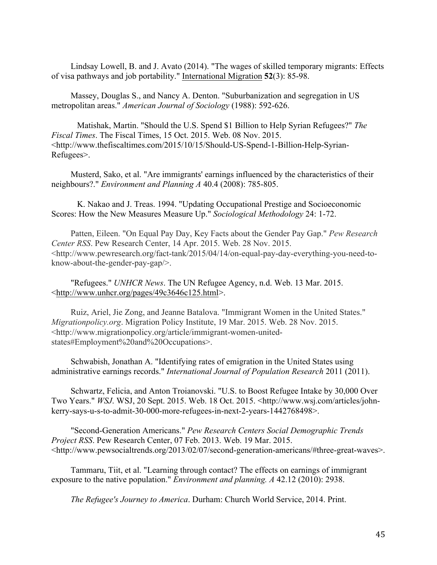Lindsay Lowell, B. and J. Avato (2014). "The wages of skilled temporary migrants: Effects of visa pathways and job portability." International Migration **52**(3): 85-98.

Massey, Douglas S., and Nancy A. Denton. "Suburbanization and segregation in US metropolitan areas." *American Journal of Sociology* (1988): 592-626.

Matishak, Martin. "Should the U.S. Spend \$1 Billion to Help Syrian Refugees?" *The Fiscal Times*. The Fiscal Times, 15 Oct. 2015. Web. 08 Nov. 2015. <http://www.thefiscaltimes.com/2015/10/15/Should-US-Spend-1-Billion-Help-Syrian-Refugees>.

Musterd, Sako, et al. "Are immigrants' earnings influenced by the characteristics of their neighbours?." *Environment and Planning A* 40.4 (2008): 785-805.

K. Nakao and J. Treas. 1994. "Updating Occupational Prestige and Socioeconomic Scores: How the New Measures Measure Up." *Sociological Methodology* 24: 1-72.

Patten, Eileen. "On Equal Pay Day, Key Facts about the Gender Pay Gap." *Pew Research Center RSS*. Pew Research Center, 14 Apr. 2015. Web. 28 Nov. 2015. <http://www.pewresearch.org/fact-tank/2015/04/14/on-equal-pay-day-everything-you-need-toknow-about-the-gender-pay-gap/>.

"Refugees." *UNHCR News*. The UN Refugee Agency, n.d. Web. 13 Mar. 2015. <http://www.unhcr.org/pages/49c3646c125.html>.

Ruiz, Ariel, Jie Zong, and Jeanne Batalova. "Immigrant Women in the United States." *Migrationpolicy.org*. Migration Policy Institute, 19 Mar. 2015. Web. 28 Nov. 2015. <http://www.migrationpolicy.org/article/immigrant-women-unitedstates#Employment%20and%20Occupations>.

Schwabish, Jonathan A. "Identifying rates of emigration in the United States using administrative earnings records." *International Journal of Population Research* 2011 (2011).

Schwartz, Felicia, and Anton Troianovski. "U.S. to Boost Refugee Intake by 30,000 Over Two Years." *WSJ*. WSJ, 20 Sept. 2015. Web. 18 Oct. 2015. <http://www.wsj.com/articles/johnkerry-says-u-s-to-admit-30-000-more-refugees-in-next-2-years-1442768498>.

"Second-Generation Americans." *Pew Research Centers Social Demographic Trends Project RSS*. Pew Research Center, 07 Feb. 2013. Web. 19 Mar. 2015. <http://www.pewsocialtrends.org/2013/02/07/second-generation-americans/#three-great-waves>.

Tammaru, Tiit, et al. "Learning through contact? The effects on earnings of immigrant exposure to the native population." *Environment and planning. A* 42.12 (2010): 2938.

*The Refugee's Journey to America*. Durham: Church World Service, 2014. Print.